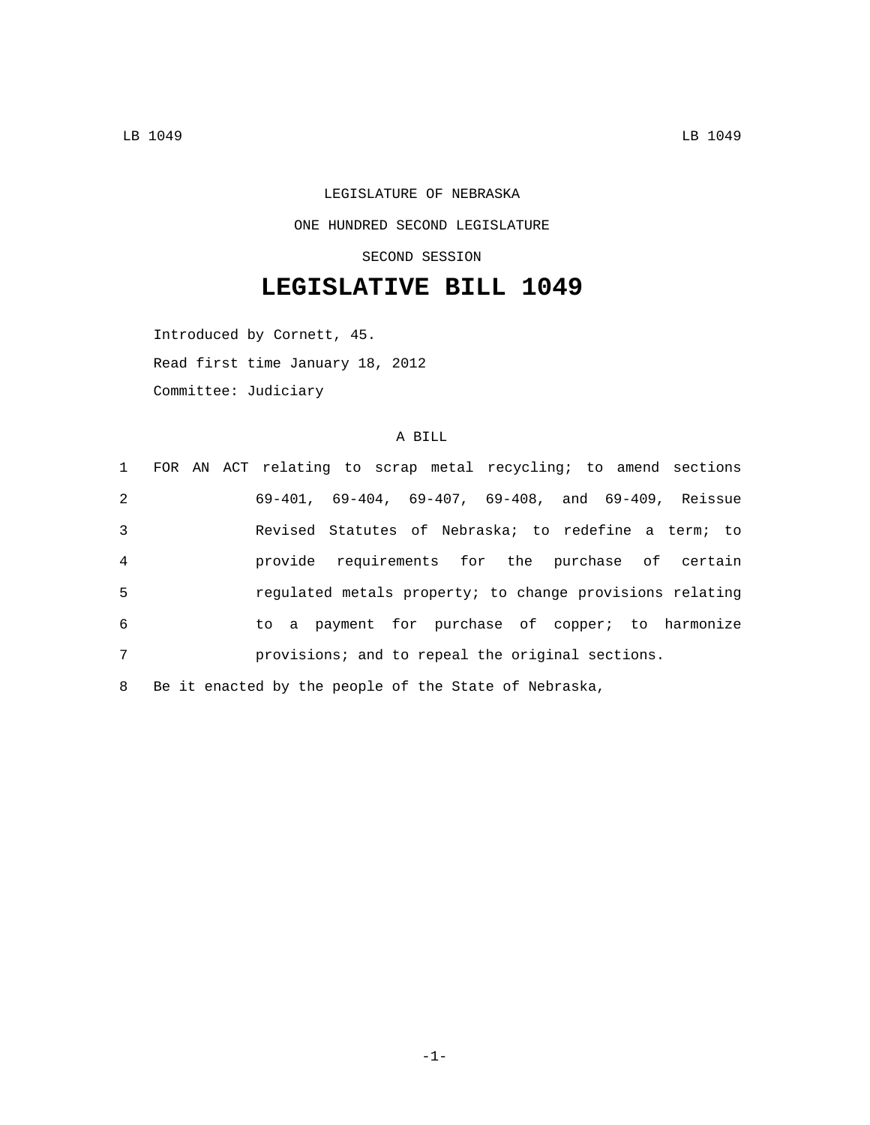LEGISLATURE OF NEBRASKA ONE HUNDRED SECOND LEGISLATURE SECOND SESSION

## **LEGISLATIVE BILL 1049**

Introduced by Cornett, 45. Read first time January 18, 2012 Committee: Judiciary

## A BILL

|                | 1 FOR AN ACT relating to scrap metal recycling; to amend sections  |
|----------------|--------------------------------------------------------------------|
| $\overline{2}$ | $69-401$ , $69-404$ , $69-407$ , $69-408$ , and $69-409$ , Reissue |
| 3              | Revised Statutes of Nebraska; to redefine a term; to               |
| $\overline{4}$ | provide requirements for the purchase of certain                   |
| 5              | regulated metals property; to change provisions relating           |
| 6              | to a payment for purchase of copper; to harmonize                  |
| 7              | provisions; and to repeal the original sections.                   |
|                | 8 Be it enacted by the people of the State of Nebraska,            |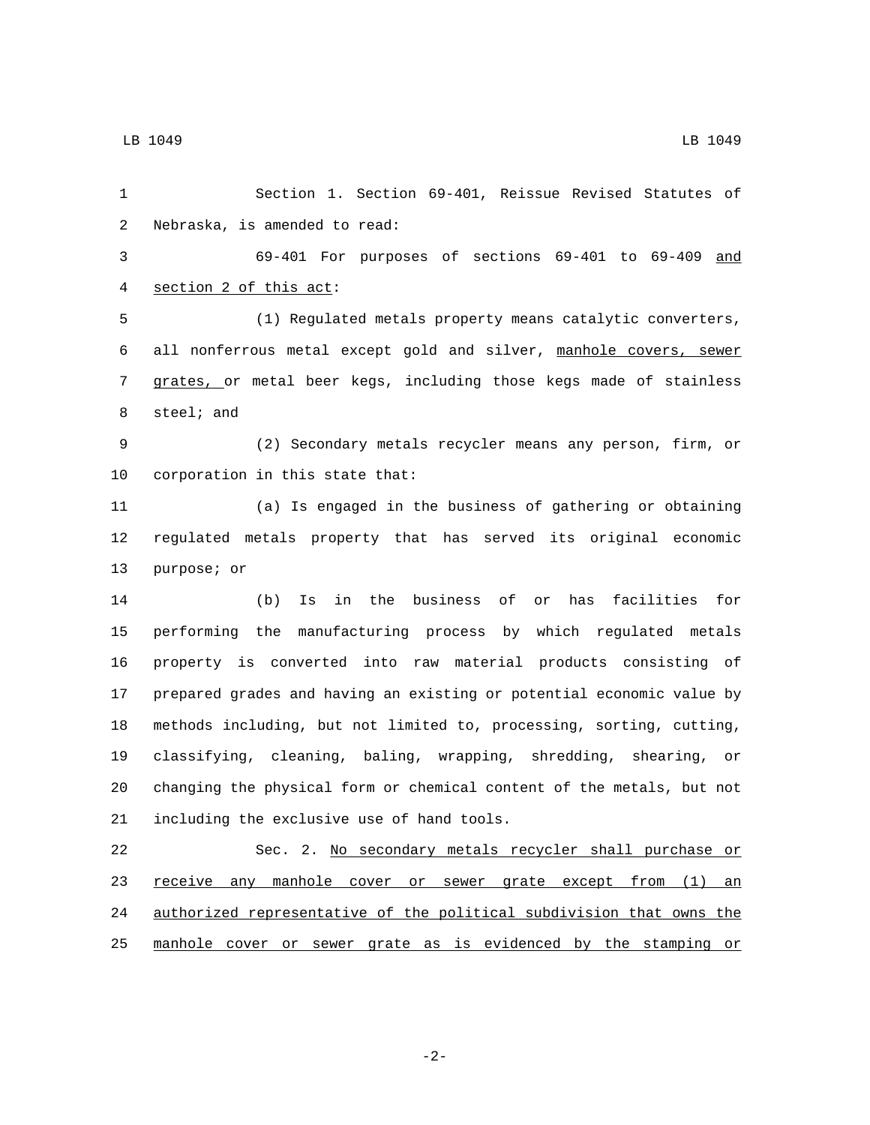Section 1. Section 69-401, Reissue Revised Statutes of 2 Nebraska, is amended to read: 69-401 For purposes of sections 69-401 to 69-409 and 4 section 2 of this act: (1) Regulated metals property means catalytic converters, all nonferrous metal except gold and silver, manhole covers, sewer grates, or metal beer kegs, including those kegs made of stainless 8 steel; and (2) Secondary metals recycler means any person, firm, or 10 corporation in this state that: (a) Is engaged in the business of gathering or obtaining regulated metals property that has served its original economic 13 purpose; or (b) Is in the business of or has facilities for performing the manufacturing process by which regulated metals property is converted into raw material products consisting of prepared grades and having an existing or potential economic value by methods including, but not limited to, processing, sorting, cutting, classifying, cleaning, baling, wrapping, shredding, shearing, or changing the physical form or chemical content of the metals, but not 21 including the exclusive use of hand tools. Sec. 2. No secondary metals recycler shall purchase or 23 receive any manhole cover or sewer grate except from (1) an authorized representative of the political subdivision that owns the manhole cover or sewer grate as is evidenced by the stamping or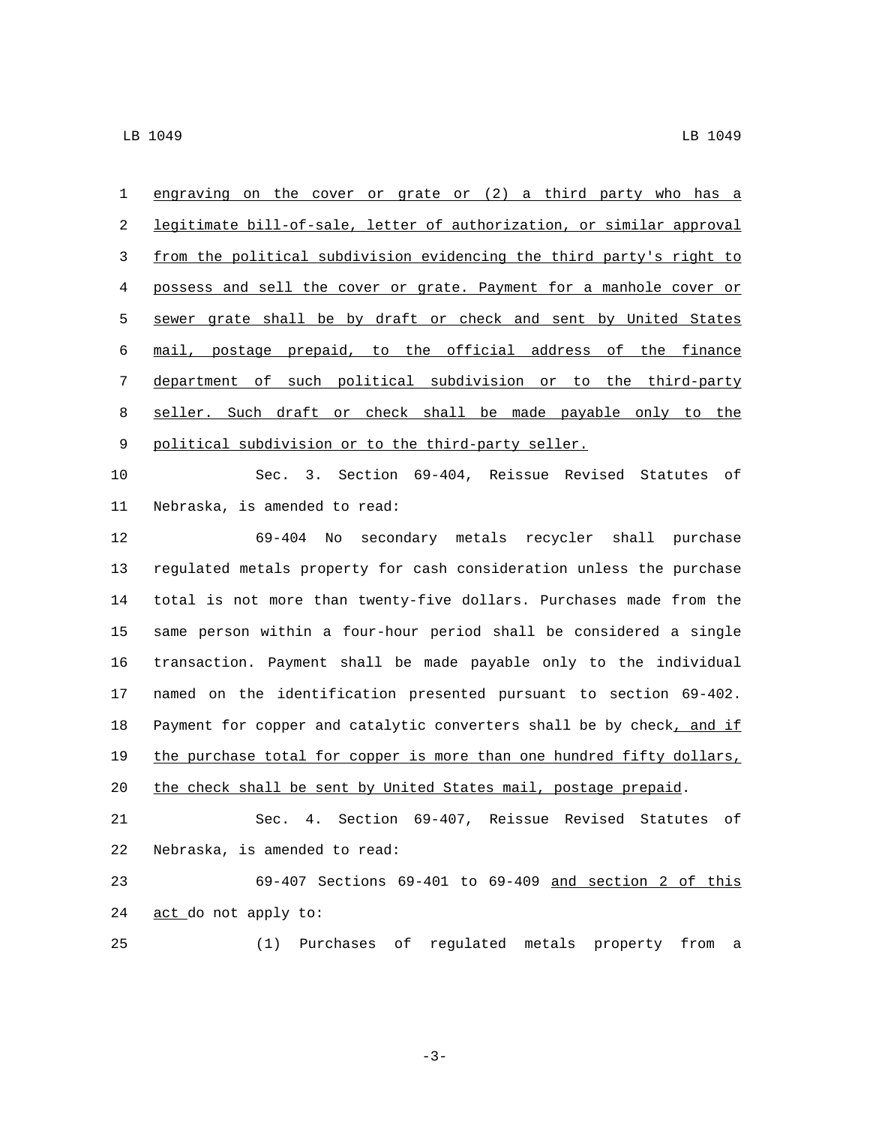engraving on the cover or grate or (2) a third party who has a legitimate bill-of-sale, letter of authorization, or similar approval from the political subdivision evidencing the third party's right to possess and sell the cover or grate. Payment for a manhole cover or sewer grate shall be by draft or check and sent by United States mail, postage prepaid, to the official address of the finance department of such political subdivision or to the third-party seller. Such draft or check shall be made payable only to the 9 political subdivision or to the third-party seller.

 Sec. 3. Section 69-404, Reissue Revised Statutes of 11 Nebraska, is amended to read:

 69-404 No secondary metals recycler shall purchase regulated metals property for cash consideration unless the purchase total is not more than twenty-five dollars. Purchases made from the same person within a four-hour period shall be considered a single transaction. Payment shall be made payable only to the individual named on the identification presented pursuant to section 69-402. 18 Payment for copper and catalytic converters shall be by check, and if the purchase total for copper is more than one hundred fifty dollars, 20 the check shall be sent by United States mail, postage prepaid. Sec. 4. Section 69-407, Reissue Revised Statutes of

22 Nebraska, is amended to read:

 69-407 Sections 69-401 to 69-409 and section 2 of this 24 act\_do not apply to:

(1) Purchases of regulated metals property from a

-3-